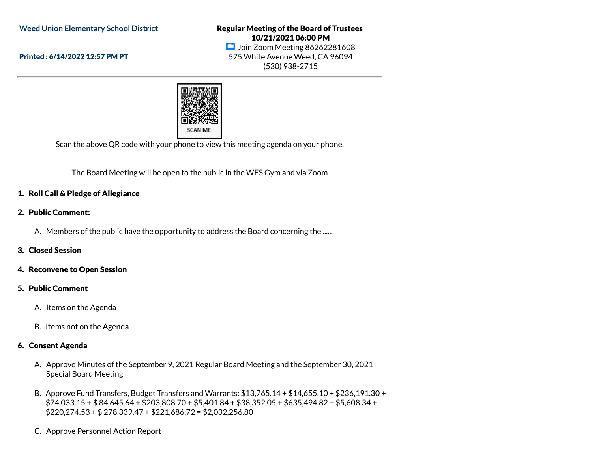**Weed Union Elementary School District**

Printed : 6/14/2022 12:57 PM PT

Regular Meeting of the Board of Trustees 10/21/2021 06:00 PM **D** Join Zoom Meeting 86262281608 575 White Avenue Weed, CA 96094 (530) 938-2715



Scan the above QR code with your phone to view this meeting agenda on your phone.

The Board Meeting will be open to the public in the WES Gym and via Zoom

### 1. Roll Call & Pledge of Allegiance

### 2. Public Comment:

A. Members of the public have the opportunity to address the Board concerning the ......

### 3. Closed Session

#### 4. Reconvene to Open Session

### 5. Public Comment

- A. Items on the Agenda
- B. Items not on the Agenda

### 6. Consent Agenda

- A. Approve Minutes of the September 9, 2021 Regular Board Meeting and the September 30, 2021 Special Board Meeting
- B. Approve Fund Transfers, Budget Transfers and Warrants: \$13,765.14 + \$14,655.10 + \$236,191.30 + \$74,033.15 + \$ 84,645.64 + \$203,808.70 + \$5,401.84 + \$38,352.05 + \$635,494.82 + \$5,608.34 + \$220,274.53 + \$ 278,339.47 + \$221,686.72 = \$2,032,256.80
- C. Approve Personnel Action Report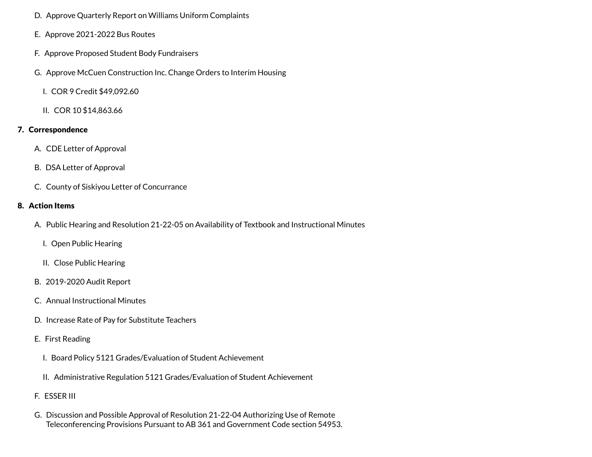- D. Approve Quarterly Report on Williams Uniform Complaints
- E. Approve 2021-2022 Bus Routes
- F. Approve Proposed Student Body Fundraisers
- G. Approve McCuen Construction Inc. Change Orders to Interim Housing
	- I. COR 9 Credit \$49,092.60
	- II. COR 10 \$14,863.66

# 7. Correspondence

- A. CDE Letter of Approval
- B. DSA Letter of Approval
- C. County of Siskiyou Letter of Concurrance

# 8. Action Items

- A. Public Hearing and Resolution 21-22-05 on Availability of Textbook and Instructional Minutes
	- I. Open Public Hearing
	- II. Close Public Hearing
- B. 2019-2020 Audit Report
- C. Annual Instructional Minutes
- D. Increase Rate of Pay for Substitute Teachers
- E. First Reading
	- I. Board Policy 5121 Grades/Evaluation of Student Achievement
	- II. Administrative Regulation 5121 Grades/Evaluation of Student Achievement
- F. ESSER III
- G. Discussion and Possible Approval of Resolution 21-22-04 Authorizing Use of Remote Teleconferencing Provisions Pursuant to AB 361 and Government Code section 54953.